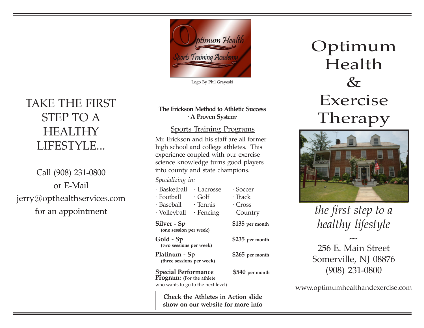

Logo By Phil Grayeski

## **The Erickson Method to Athletic Success · A Proven System·**

# Sports Training Programs

Mr. Erickson and his staff are all former high school and college athletes. This experience coupled with our exercise science knowledge turns good players into county and state champions.

## *Specializing in:*

| · Basketball                          | · Lacrosse   | · Soccer        |
|---------------------------------------|--------------|-----------------|
| · Football                            | $\cdot$ Golf | · Track         |
| · Baseball                            | · Tennis     | $\cdot$ Cross   |
| · Volleyball                          | · Fencing    | Country         |
| Silver - Sp<br>(one session per week) |              | \$135 per month |
| Gold - Sp<br>(two sessions per week)  |              | \$235 per month |
|                                       |              |                 |

**Platinum - Sp \$265 per month (three sessions per week)**

**Special Performance** \$540 per month<br>**Program:** (For the athlete who wants to go to the next level)

**Check the Athletes in Action slide show on our website for more info** Optimum Health  $\&$ Exercise Therapy



*the first step to a healthy lifestyle*

256 E. Main Street Somerville, NJ 08876 (908) 231-0800

*~*

www.optimumhealthandexercise.com

# TAKE THE FIRST STEP TO A **HEALTHY** LIFESTYLE...

Call (908) 231-0800 or E-Mail jerry@opthealthservices.com for an appointment